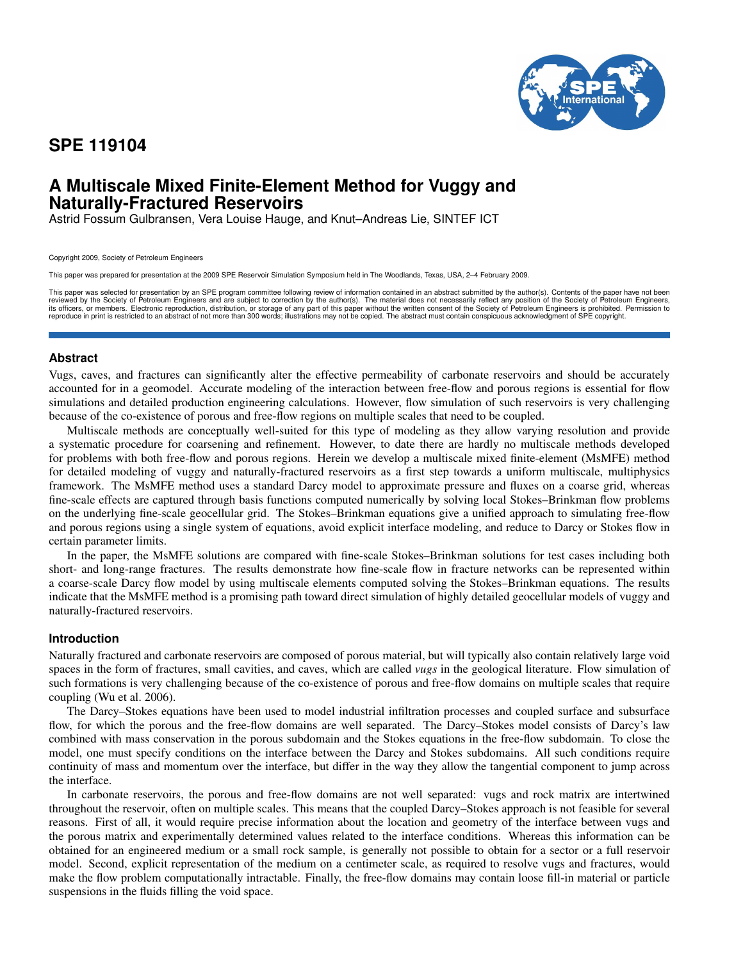

# **SPE 119104**

# **A Multiscale Mixed Finite-Element Method for Vuggy and Naturally-Fractured Reservoirs**

Astrid Fossum Gulbransen, Vera Louise Hauge, and Knut–Andreas Lie, SINTEF ICT

Copyright 2009, Society of Petroleum Engineers

This paper was prepared for presentation at the 2009 SPE Reservoir Simulation Symposium held in The Woodlands, Texas, USA, 2–4 February 2009.

This paper was selected for presentation by an SPE program committee following review of information contained in an abstract submitted by the author(s). Contents of the paper have not been ed by the Society of Petroleum Engineers and are subject to correction by the author(s). The material does not necessarily reflect any position of the Society of Petroleum Engineers, its officers, or members. Electronic reproduction, distribution, or storage of any part of this paper without the written consent of the Society of Petroleum Engineers is prohibited. Permission to<br>reproduce in print is res

## **Abstract**

Vugs, caves, and fractures can significantly alter the effective permeability of carbonate reservoirs and should be accurately accounted for in a geomodel. Accurate modeling of the interaction between free-flow and porous regions is essential for flow simulations and detailed production engineering calculations. However, flow simulation of such reservoirs is very challenging because of the co-existence of porous and free-flow regions on multiple scales that need to be coupled.

Multiscale methods are conceptually well-suited for this type of modeling as they allow varying resolution and provide a systematic procedure for coarsening and refinement. However, to date there are hardly no multiscale methods developed for problems with both free-flow and porous regions. Herein we develop a multiscale mixed finite-element (MsMFE) method for detailed modeling of vuggy and naturally-fractured reservoirs as a first step towards a uniform multiscale, multiphysics framework. The MsMFE method uses a standard Darcy model to approximate pressure and fluxes on a coarse grid, whereas fine-scale effects are captured through basis functions computed numerically by solving local Stokes–Brinkman flow problems on the underlying fine-scale geocellular grid. The Stokes–Brinkman equations give a unified approach to simulating free-flow and porous regions using a single system of equations, avoid explicit interface modeling, and reduce to Darcy or Stokes flow in certain parameter limits.

In the paper, the MsMFE solutions are compared with fine-scale Stokes–Brinkman solutions for test cases including both short- and long-range fractures. The results demonstrate how fine-scale flow in fracture networks can be represented within a coarse-scale Darcy flow model by using multiscale elements computed solving the Stokes–Brinkman equations. The results indicate that the MsMFE method is a promising path toward direct simulation of highly detailed geocellular models of vuggy and naturally-fractured reservoirs.

#### **Introduction**

Naturally fractured and carbonate reservoirs are composed of porous material, but will typically also contain relatively large void spaces in the form of fractures, small cavities, and caves, which are called *vugs* in the geological literature. Flow simulation of such formations is very challenging because of the co-existence of porous and free-flow domains on multiple scales that require coupling (Wu et al. 2006).

The Darcy–Stokes equations have been used to model industrial infiltration processes and coupled surface and subsurface flow, for which the porous and the free-flow domains are well separated. The Darcy–Stokes model consists of Darcy's law combined with mass conservation in the porous subdomain and the Stokes equations in the free-flow subdomain. To close the model, one must specify conditions on the interface between the Darcy and Stokes subdomains. All such conditions require continuity of mass and momentum over the interface, but differ in the way they allow the tangential component to jump across the interface.

In carbonate reservoirs, the porous and free-flow domains are not well separated: vugs and rock matrix are intertwined throughout the reservoir, often on multiple scales. This means that the coupled Darcy–Stokes approach is not feasible for several reasons. First of all, it would require precise information about the location and geometry of the interface between vugs and the porous matrix and experimentally determined values related to the interface conditions. Whereas this information can be obtained for an engineered medium or a small rock sample, is generally not possible to obtain for a sector or a full reservoir model. Second, explicit representation of the medium on a centimeter scale, as required to resolve vugs and fractures, would make the flow problem computationally intractable. Finally, the free-flow domains may contain loose fill-in material or particle suspensions in the fluids filling the void space.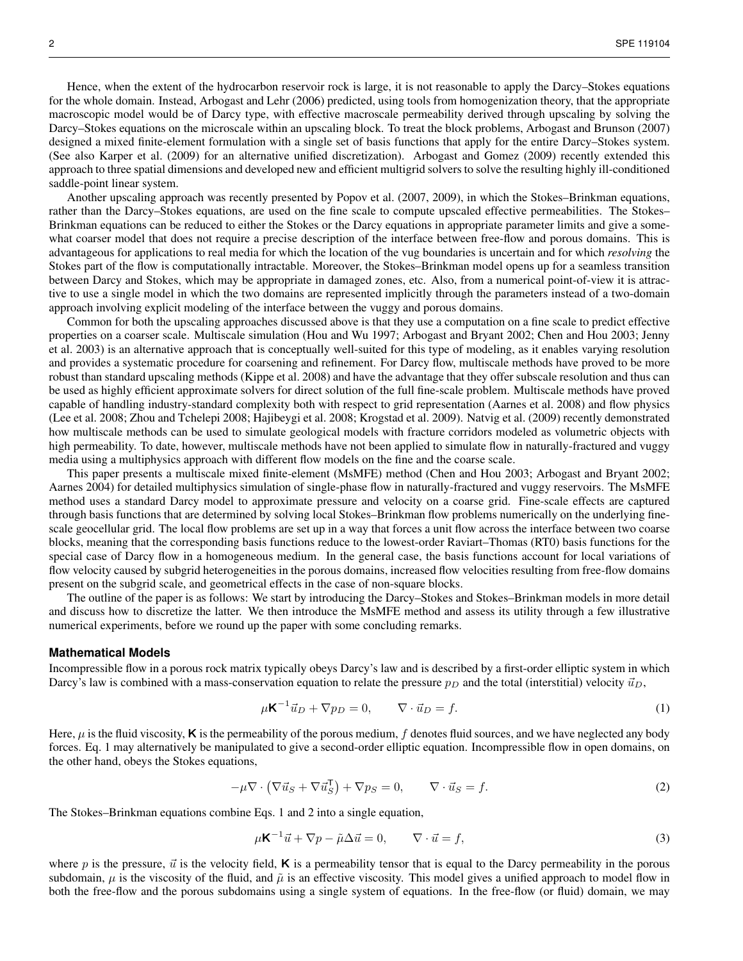Hence, when the extent of the hydrocarbon reservoir rock is large, it is not reasonable to apply the Darcy–Stokes equations for the whole domain. Instead, Arbogast and Lehr (2006) predicted, using tools from homogenization theory, that the appropriate macroscopic model would be of Darcy type, with effective macroscale permeability derived through upscaling by solving the Darcy–Stokes equations on the microscale within an upscaling block. To treat the block problems, Arbogast and Brunson (2007) designed a mixed finite-element formulation with a single set of basis functions that apply for the entire Darcy–Stokes system. (See also Karper et al. (2009) for an alternative unified discretization). Arbogast and Gomez (2009) recently extended this approach to three spatial dimensions and developed new and efficient multigrid solvers to solve the resulting highly ill-conditioned saddle-point linear system.

Another upscaling approach was recently presented by Popov et al. (2007, 2009), in which the Stokes–Brinkman equations, rather than the Darcy–Stokes equations, are used on the fine scale to compute upscaled effective permeabilities. The Stokes– Brinkman equations can be reduced to either the Stokes or the Darcy equations in appropriate parameter limits and give a somewhat coarser model that does not require a precise description of the interface between free-flow and porous domains. This is advantageous for applications to real media for which the location of the vug boundaries is uncertain and for which *resolving* the Stokes part of the flow is computationally intractable. Moreover, the Stokes–Brinkman model opens up for a seamless transition between Darcy and Stokes, which may be appropriate in damaged zones, etc. Also, from a numerical point-of-view it is attractive to use a single model in which the two domains are represented implicitly through the parameters instead of a two-domain approach involving explicit modeling of the interface between the vuggy and porous domains.

Common for both the upscaling approaches discussed above is that they use a computation on a fine scale to predict effective properties on a coarser scale. Multiscale simulation (Hou and Wu 1997; Arbogast and Bryant 2002; Chen and Hou 2003; Jenny et al. 2003) is an alternative approach that is conceptually well-suited for this type of modeling, as it enables varying resolution and provides a systematic procedure for coarsening and refinement. For Darcy flow, multiscale methods have proved to be more robust than standard upscaling methods (Kippe et al. 2008) and have the advantage that they offer subscale resolution and thus can be used as highly efficient approximate solvers for direct solution of the full fine-scale problem. Multiscale methods have proved capable of handling industry-standard complexity both with respect to grid representation (Aarnes et al. 2008) and flow physics (Lee et al. 2008; Zhou and Tchelepi 2008; Hajibeygi et al. 2008; Krogstad et al. 2009). Natvig et al. (2009) recently demonstrated how multiscale methods can be used to simulate geological models with fracture corridors modeled as volumetric objects with high permeability. To date, however, multiscale methods have not been applied to simulate flow in naturally-fractured and vuggy media using a multiphysics approach with different flow models on the fine and the coarse scale.

This paper presents a multiscale mixed finite-element (MsMFE) method (Chen and Hou 2003; Arbogast and Bryant 2002; Aarnes 2004) for detailed multiphysics simulation of single-phase flow in naturally-fractured and vuggy reservoirs. The MsMFE method uses a standard Darcy model to approximate pressure and velocity on a coarse grid. Fine-scale effects are captured through basis functions that are determined by solving local Stokes–Brinkman flow problems numerically on the underlying finescale geocellular grid. The local flow problems are set up in a way that forces a unit flow across the interface between two coarse blocks, meaning that the corresponding basis functions reduce to the lowest-order Raviart–Thomas (RT0) basis functions for the special case of Darcy flow in a homogeneous medium. In the general case, the basis functions account for local variations of flow velocity caused by subgrid heterogeneities in the porous domains, increased flow velocities resulting from free-flow domains present on the subgrid scale, and geometrical effects in the case of non-square blocks.

The outline of the paper is as follows: We start by introducing the Darcy–Stokes and Stokes–Brinkman models in more detail and discuss how to discretize the latter. We then introduce the MsMFE method and assess its utility through a few illustrative numerical experiments, before we round up the paper with some concluding remarks.

#### **Mathematical Models**

Incompressible flow in a porous rock matrix typically obeys Darcy's law and is described by a first-order elliptic system in which Darcy's law is combined with a mass-conservation equation to relate the pressure  $p<sub>D</sub>$  and the total (interstitial) velocity  $\vec{u}<sub>D</sub>$ ,

$$
\mu \mathbf{K}^{-1} \vec{u}_D + \nabla p_D = 0, \qquad \nabla \cdot \vec{u}_D = f. \tag{1}
$$

Here,  $\mu$  is the fluid viscosity, K is the permeability of the porous medium, f denotes fluid sources, and we have neglected any body forces. Eq. 1 may alternatively be manipulated to give a second-order elliptic equation. Incompressible flow in open domains, on the other hand, obeys the Stokes equations,

$$
-\mu \nabla \cdot (\nabla \vec{u}_S + \nabla \vec{u}_S^{\mathsf{T}}) + \nabla p_S = 0, \qquad \nabla \cdot \vec{u}_S = f. \tag{2}
$$

The Stokes–Brinkman equations combine Eqs. 1 and 2 into a single equation,

$$
\mu \mathbf{K}^{-1} \vec{u} + \nabla p - \tilde{\mu} \Delta \vec{u} = 0, \qquad \nabla \cdot \vec{u} = f,\tag{3}
$$

where p is the pressure,  $\vec{u}$  is the velocity field, K is a permeability tensor that is equal to the Darcy permeability in the porous subdomain,  $\mu$  is the viscosity of the fluid, and  $\tilde{\mu}$  is an effective viscosity. This model gives a unified approach to model flow in both the free-flow and the porous subdomains using a single system of equations. In the free-flow (or fluid) domain, we may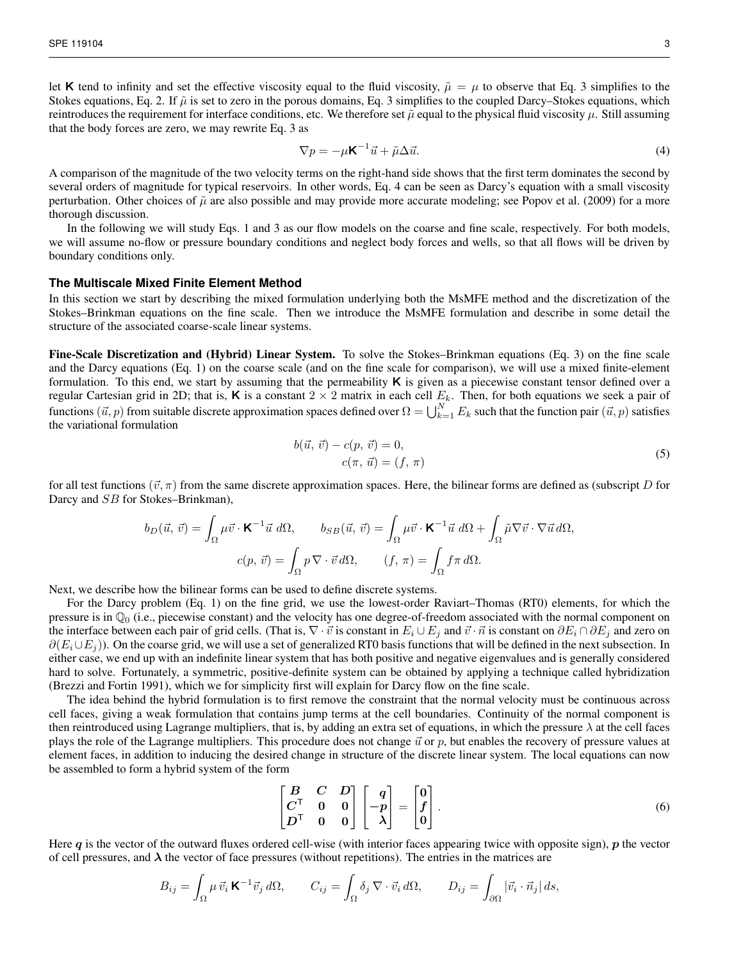let K tend to infinity and set the effective viscosity equal to the fluid viscosity,  $\tilde{\mu} = \mu$  to observe that Eq. 3 simplifies to the Stokes equations, Eq. 2. If  $\tilde{\mu}$  is set to zero in the porous domains, Eq. 3 simplifies to the coupled Darcy–Stokes equations, which reintroduces the requirement for interface conditions, etc. We therefore set  $\tilde{\mu}$  equal to the physical fluid viscosity  $\mu$ . Still assuming that the body forces are zero, we may rewrite Eq. 3 as

$$
\nabla p = -\mu \mathbf{K}^{-1} \vec{u} + \tilde{\mu} \Delta \vec{u}.\tag{4}
$$

A comparison of the magnitude of the two velocity terms on the right-hand side shows that the first term dominates the second by several orders of magnitude for typical reservoirs. In other words, Eq. 4 can be seen as Darcy's equation with a small viscosity perturbation. Other choices of  $\tilde{\mu}$  are also possible and may provide more accurate modeling; see Popov et al. (2009) for a more thorough discussion.

In the following we will study Eqs. 1 and 3 as our flow models on the coarse and fine scale, respectively. For both models, we will assume no-flow or pressure boundary conditions and neglect body forces and wells, so that all flows will be driven by boundary conditions only.

#### **The Multiscale Mixed Finite Element Method**

In this section we start by describing the mixed formulation underlying both the MsMFE method and the discretization of the Stokes–Brinkman equations on the fine scale. Then we introduce the MsMFE formulation and describe in some detail the structure of the associated coarse-scale linear systems.

Fine-Scale Discretization and (Hybrid) Linear System. To solve the Stokes–Brinkman equations (Eq. 3) on the fine scale and the Darcy equations (Eq. 1) on the coarse scale (and on the fine scale for comparison), we will use a mixed finite-element formulation. To this end, we start by assuming that the permeability  $\kappa$  is given as a piecewise constant tensor defined over a regular Cartesian grid in 2D; that is, K is a constant  $2 \times 2$  matrix in each cell  $E_k$ . Then, for both equations we seek a pair of functions  $(\vec u, p)$  from suitable discrete approximation spaces defined over  $\Omega=\bigcup_{k=1}^N E_k$  such that the function pair  $(\vec u, p)$  satisfies the variational formulation

$$
b(\vec{u}, \vec{v}) - c(p, \vec{v}) = 0,
$$
  
\n
$$
c(\pi, \vec{u}) = (f, \pi)
$$
\n(5)

for all test functions  $(\vec{v}, \pi)$  from the same discrete approximation spaces. Here, the bilinear forms are defined as (subscript D for Darcy and SB for Stokes–Brinkman),

$$
b_D(\vec{u}, \vec{v}) = \int_{\Omega} \mu \vec{v} \cdot \mathbf{K}^{-1} \vec{u} \, d\Omega, \qquad b_{SB}(\vec{u}, \vec{v}) = \int_{\Omega} \mu \vec{v} \cdot \mathbf{K}^{-1} \vec{u} \, d\Omega + \int_{\Omega} \tilde{\mu} \nabla \vec{v} \cdot \nabla \vec{u} \, d\Omega,
$$

$$
c(p, \vec{v}) = \int_{\Omega} p \, \nabla \cdot \vec{v} \, d\Omega, \qquad (f, \pi) = \int_{\Omega} f \pi \, d\Omega.
$$

Next, we describe how the bilinear forms can be used to define discrete systems.

For the Darcy problem (Eq. 1) on the fine grid, we use the lowest-order Raviart–Thomas (RT0) elements, for which the pressure is in  $\mathbb{Q}_0$  (i.e., piecewise constant) and the velocity has one degree-of-freedom associated with the normal component on the interface between each pair of grid cells. (That is,  $\nabla \cdot \vec{v}$  is constant in  $E_i \cup E_j$  and  $\vec{v} \cdot \vec{n}$  is constant on  $\partial E_i \cap \partial E_j$  and zero on  $\partial(E_i \cup E_j)$ ). On the coarse grid, we will use a set of generalized RT0 basis functions that will be defined in the next subsection. In either case, we end up with an indefinite linear system that has both positive and negative eigenvalues and is generally considered hard to solve. Fortunately, a symmetric, positive-definite system can be obtained by applying a technique called hybridization (Brezzi and Fortin 1991), which we for simplicity first will explain for Darcy flow on the fine scale.

The idea behind the hybrid formulation is to first remove the constraint that the normal velocity must be continuous across cell faces, giving a weak formulation that contains jump terms at the cell boundaries. Continuity of the normal component is then reintroduced using Lagrange multipliers, that is, by adding an extra set of equations, in which the pressure  $\lambda$  at the cell faces plays the role of the Lagrange multipliers. This procedure does not change  $\vec{u}$  or p, but enables the recovery of pressure values at element faces, in addition to inducing the desired change in structure of the discrete linear system. The local equations can now be assembled to form a hybrid system of the form

$$
\begin{bmatrix} B & C & D \\ C^{\mathsf{T}} & 0 & 0 \\ D^{\mathsf{T}} & 0 & 0 \end{bmatrix} \begin{bmatrix} q \\ -p \\ \lambda \end{bmatrix} = \begin{bmatrix} 0 \\ f \\ 0 \end{bmatrix}.
$$
 (6)

Here  $q$  is the vector of the outward fluxes ordered cell-wise (with interior faces appearing twice with opposite sign),  $p$  the vector of cell pressures, and  $\lambda$  the vector of face pressures (without repetitions). The entries in the matrices are

$$
B_{ij} = \int_{\Omega} \mu \, \vec{v}_i \, \mathbf{K}^{-1} \vec{v}_j \, d\Omega, \qquad C_{ij} = \int_{\Omega} \delta_j \, \nabla \cdot \vec{v}_i \, d\Omega, \qquad D_{ij} = \int_{\partial \Omega} |\vec{v}_i \cdot \vec{n}_j| \, ds,
$$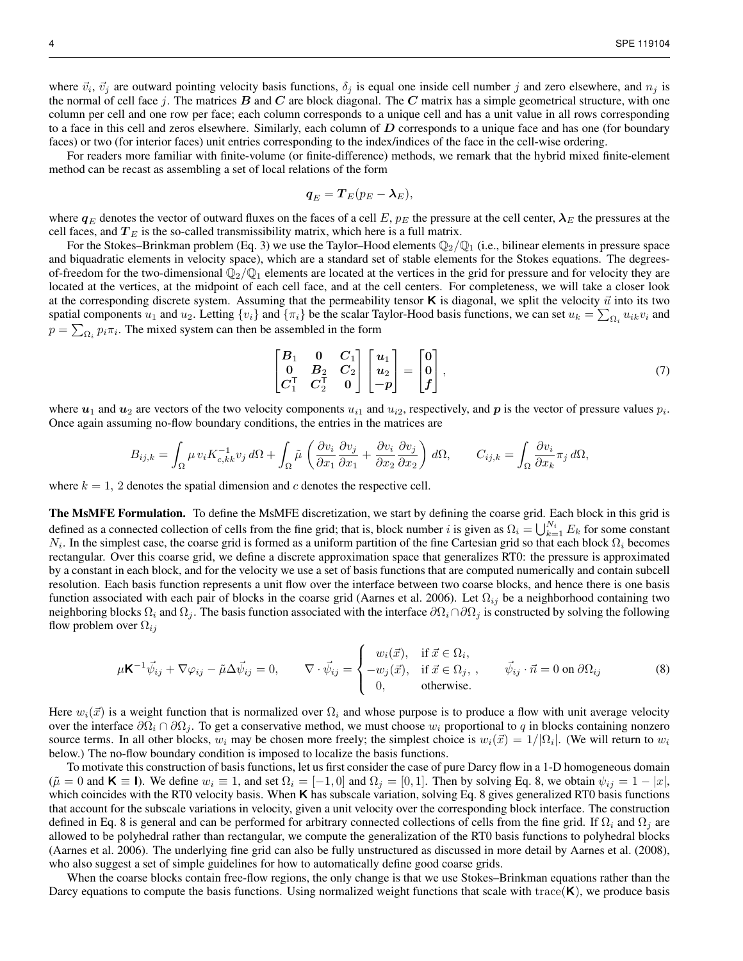where  $\vec{v}_i$ ,  $\vec{v}_j$  are outward pointing velocity basis functions,  $\delta_j$  is equal one inside cell number j and zero elsewhere, and  $n_j$  is the normal of cell face j. The matrices  $B$  and  $C$  are block diagonal. The  $C$  matrix has a simple geometrical structure, with one column per cell and one row per face; each column corresponds to a unique cell and has a unit value in all rows corresponding to a face in this cell and zeros elsewhere. Similarly, each column of D corresponds to a unique face and has one (for boundary faces) or two (for interior faces) unit entries corresponding to the index/indices of the face in the cell-wise ordering.

For readers more familiar with finite-volume (or finite-difference) methods, we remark that the hybrid mixed finite-element method can be recast as assembling a set of local relations of the form

$$
\boldsymbol{q}_E = \boldsymbol{T}_E(p_E - \boldsymbol{\lambda}_E),
$$

where  $q_E$  denotes the vector of outward fluxes on the faces of a cell E,  $p_E$  the pressure at the cell center,  $\lambda_E$  the pressures at the cell faces, and  $T_E$  is the so-called transmissibility matrix, which here is a full matrix.

For the Stokes–Brinkman problem (Eq. 3) we use the Taylor–Hood elements  $\mathbb{Q}_2/\mathbb{Q}_1$  (i.e., bilinear elements in pressure space and biquadratic elements in velocity space), which are a standard set of stable elements for the Stokes equations. The degreesof-freedom for the two-dimensional  $\mathbb{Q}_2/\mathbb{Q}_1$  elements are located at the vertices in the grid for pressure and for velocity they are located at the vertices, at the midpoint of each cell face, and at the cell centers. For completeness, we will take a closer look at the corresponding discrete system. Assuming that the permeability tensor **K** is diagonal, we split the velocity  $\vec{u}$  into its two spatial components  $u_1$  and  $u_2$ . Letting  $\{v_i\}$  and  $\{\pi_i\}$  be the scalar Taylor-Hood basis functions, we can set  $u_k = \sum_{\Omega_i} u_{ik}v_i$  and  $p = \sum_{\Omega_i} p_i \pi_i$ . The mixed system can then be assembled in the form

$$
\begin{bmatrix} B_1 & 0 & C_1 \\ 0 & B_2 & C_2 \\ C_1^\mathsf{T} & C_2^\mathsf{T} & 0 \end{bmatrix} \begin{bmatrix} u_1 \\ u_2 \\ -p \end{bmatrix} = \begin{bmatrix} 0 \\ 0 \\ f \end{bmatrix},\tag{7}
$$

where  $u_1$  and  $u_2$  are vectors of the two velocity components  $u_{i1}$  and  $u_{i2}$ , respectively, and  $p$  is the vector of pressure values  $p_i$ . Once again assuming no-flow boundary conditions, the entries in the matrices are

$$
B_{ij,k} = \int_{\Omega} \mu v_i K_{c,kk}^{-1} v_j d\Omega + \int_{\Omega} \tilde{\mu} \left( \frac{\partial v_i}{\partial x_1} \frac{\partial v_j}{\partial x_1} + \frac{\partial v_i}{\partial x_2} \frac{\partial v_j}{\partial x_2} \right) d\Omega, \qquad C_{ij,k} = \int_{\Omega} \frac{\partial v_i}{\partial x_k} \pi_j d\Omega,
$$

where  $k = 1$ , 2 denotes the spatial dimension and c denotes the respective cell.

The MsMFE Formulation. To define the MsMFE discretization, we start by defining the coarse grid. Each block in this grid is defined as a connected collection of cells from the fine grid; that is, block number i is given as  $\Omega_i = \bigcup_{k=1}^{N_i} E_k$  for some constant  $N_i$ . In the simplest case, the coarse grid is formed as a uniform partition of the fine Cartesian grid so that each block  $\Omega_i$  becomes rectangular. Over this coarse grid, we define a discrete approximation space that generalizes RT0: the pressure is approximated by a constant in each block, and for the velocity we use a set of basis functions that are computed numerically and contain subcell resolution. Each basis function represents a unit flow over the interface between two coarse blocks, and hence there is one basis function associated with each pair of blocks in the coarse grid (Aarnes et al. 2006). Let  $\Omega_{ij}$  be a neighborhood containing two neighboring blocks  $\Omega_i$  and  $\Omega_j$ . The basis function associated with the interface  $\partial\Omega_i \cap \partial\Omega_j$  is constructed by solving the following flow problem over  $\Omega_{ij}$ 

$$
\mu \mathbf{K}^{-1} \vec{\psi}_{ij} + \nabla \varphi_{ij} - \tilde{\mu} \Delta \vec{\psi}_{ij} = 0, \qquad \nabla \cdot \vec{\psi}_{ij} = \begin{cases} w_i(\vec{x}), & \text{if } \vec{x} \in \Omega_i, \\ -w_j(\vec{x}), & \text{if } \vec{x} \in \Omega_j, \\ 0, & \text{otherwise.} \end{cases} \qquad \vec{\psi}_{ij} \cdot \vec{n} = 0 \text{ on } \partial \Omega_{ij} \tag{8}
$$

Here  $w_i(\vec{x})$  is a weight function that is normalized over  $\Omega_i$  and whose purpose is to produce a flow with unit average velocity over the interface  $\partial\Omega_i \cap \partial\Omega_j$ . To get a conservative method, we must choose  $w_i$  proportional to q in blocks containing nonzero source terms. In all other blocks,  $w_i$  may be chosen more freely; the simplest choice is  $w_i(\vec{x}) = 1/|\Omega_i|$ . (We will return to  $w_i$ below.) The no-flow boundary condition is imposed to localize the basis functions.

To motivate this construction of basis functions, let us first consider the case of pure Darcy flow in a 1-D homogeneous domain  $(\tilde{\mu} = 0 \text{ and } \mathbf{K} = \mathbf{I})$ . We define  $w_i \equiv 1$ , and set  $\Omega_i = [-1, 0]$  and  $\Omega_j = [0, 1]$ . Then by solving Eq. 8, we obtain  $\psi_{ij} = 1 - |x|$ , which coincides with the RT0 velocity basis. When  $K$  has subscale variation, solving Eq. 8 gives generalized RT0 basis functions that account for the subscale variations in velocity, given a unit velocity over the corresponding block interface. The construction defined in Eq. 8 is general and can be performed for arbitrary connected collections of cells from the fine grid. If  $\Omega_i$  and  $\Omega_j$  are allowed to be polyhedral rather than rectangular, we compute the generalization of the RT0 basis functions to polyhedral blocks (Aarnes et al. 2006). The underlying fine grid can also be fully unstructured as discussed in more detail by Aarnes et al. (2008), who also suggest a set of simple guidelines for how to automatically define good coarse grids.

When the coarse blocks contain free-flow regions, the only change is that we use Stokes–Brinkman equations rather than the Darcy equations to compute the basis functions. Using normalized weight functions that scale with trace( $K$ ), we produce basis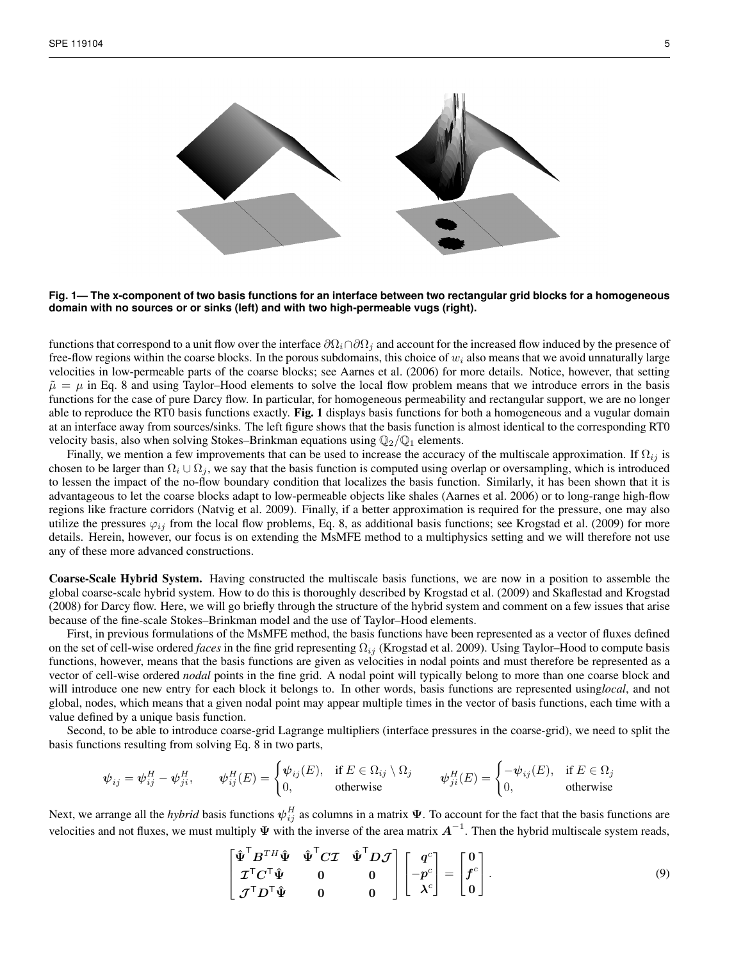

**Fig. 1— The x-component of two basis functions for an interface between two rectangular grid blocks for a homogeneous domain with no sources or or sinks (left) and with two high-permeable vugs (right).**

functions that correspond to a unit flow over the interface  $\partial\Omega_i \cap \partial\Omega_j$  and account for the increased flow induced by the presence of free-flow regions within the coarse blocks. In the porous subdomains, this choice of  $w_i$  also means that we avoid unnaturally large velocities in low-permeable parts of the coarse blocks; see Aarnes et al. (2006) for more details. Notice, however, that setting  $\tilde{\mu} = \mu$  in Eq. 8 and using Taylor–Hood elements to solve the local flow problem means that we introduce errors in the basis functions for the case of pure Darcy flow. In particular, for homogeneous permeability and rectangular support, we are no longer able to reproduce the RT0 basis functions exactly. Fig. 1 displays basis functions for both a homogeneous and a vugular domain at an interface away from sources/sinks. The left figure shows that the basis function is almost identical to the corresponding RT0 velocity basis, also when solving Stokes–Brinkman equations using  $\mathbb{Q}_2/\mathbb{Q}_1$  elements.

Finally, we mention a few improvements that can be used to increase the accuracy of the multiscale approximation. If  $\Omega_{ij}$  is chosen to be larger than  $\Omega_i \cup \Omega_j$ , we say that the basis function is computed using overlap or oversampling, which is introduced to lessen the impact of the no-flow boundary condition that localizes the basis function. Similarly, it has been shown that it is advantageous to let the coarse blocks adapt to low-permeable objects like shales (Aarnes et al. 2006) or to long-range high-flow regions like fracture corridors (Natvig et al. 2009). Finally, if a better approximation is required for the pressure, one may also utilize the pressures  $\varphi_{ij}$  from the local flow problems, Eq. 8, as additional basis functions; see Krogstad et al. (2009) for more details. Herein, however, our focus is on extending the MsMFE method to a multiphysics setting and we will therefore not use any of these more advanced constructions.

Coarse-Scale Hybrid System. Having constructed the multiscale basis functions, we are now in a position to assemble the global coarse-scale hybrid system. How to do this is thoroughly described by Krogstad et al. (2009) and Skaflestad and Krogstad (2008) for Darcy flow. Here, we will go briefly through the structure of the hybrid system and comment on a few issues that arise because of the fine-scale Stokes–Brinkman model and the use of Taylor–Hood elements.

First, in previous formulations of the MsMFE method, the basis functions have been represented as a vector of fluxes defined on the set of cell-wise ordered *faces* in the fine grid representing  $\Omega_{ij}$  (Krogstad et al. 2009). Using Taylor–Hood to compute basis functions, however, means that the basis functions are given as velocities in nodal points and must therefore be represented as a vector of cell-wise ordered *nodal* points in the fine grid. A nodal point will typically belong to more than one coarse block and will introduce one new entry for each block it belongs to. In other words, basis functions are represented using*local*, and not global, nodes, which means that a given nodal point may appear multiple times in the vector of basis functions, each time with a value defined by a unique basis function.

Second, to be able to introduce coarse-grid Lagrange multipliers (interface pressures in the coarse-grid), we need to split the basis functions resulting from solving Eq. 8 in two parts,

$$
\psi_{ij} = \psi_{ij}^H - \psi_{ji}^H, \qquad \psi_{ij}^H(E) = \begin{cases} \psi_{ij}(E), & \text{if } E \in \Omega_{ij} \setminus \Omega_j \\ 0, & \text{otherwise} \end{cases} \qquad \psi_{ji}^H(E) = \begin{cases} -\psi_{ij}(E), & \text{if } E \in \Omega_j \\ 0, & \text{otherwise} \end{cases}
$$

Next, we arrange all the *hybrid* basis functions  $\psi_{ij}^H$  as columns in a matrix  $\Psi$ . To account for the fact that the basis functions are velocities and not fluxes, we must multiply  $\Psi$  with the inverse of the area matrix  $A^{-1}$ . Then the hybrid multiscale system reads,

$$
\begin{bmatrix} \hat{\Psi}^{\mathsf{T}} B^{TH} \hat{\Psi} & \hat{\Psi}^{\mathsf{T}} C \mathcal{I} & \hat{\Psi}^{\mathsf{T}} D \mathcal{J} \\ \mathcal{I}^{\mathsf{T}} C^{\mathsf{T}} \hat{\Psi} & 0 & 0 \\ \mathcal{J}^{\mathsf{T}} D^{\mathsf{T}} \hat{\Psi} & 0 & 0 \end{bmatrix} \begin{bmatrix} q^c \\ -p^c \\ \lambda^c \end{bmatrix} = \begin{bmatrix} 0 \\ f^c \\ 0 \end{bmatrix}.
$$
 (9)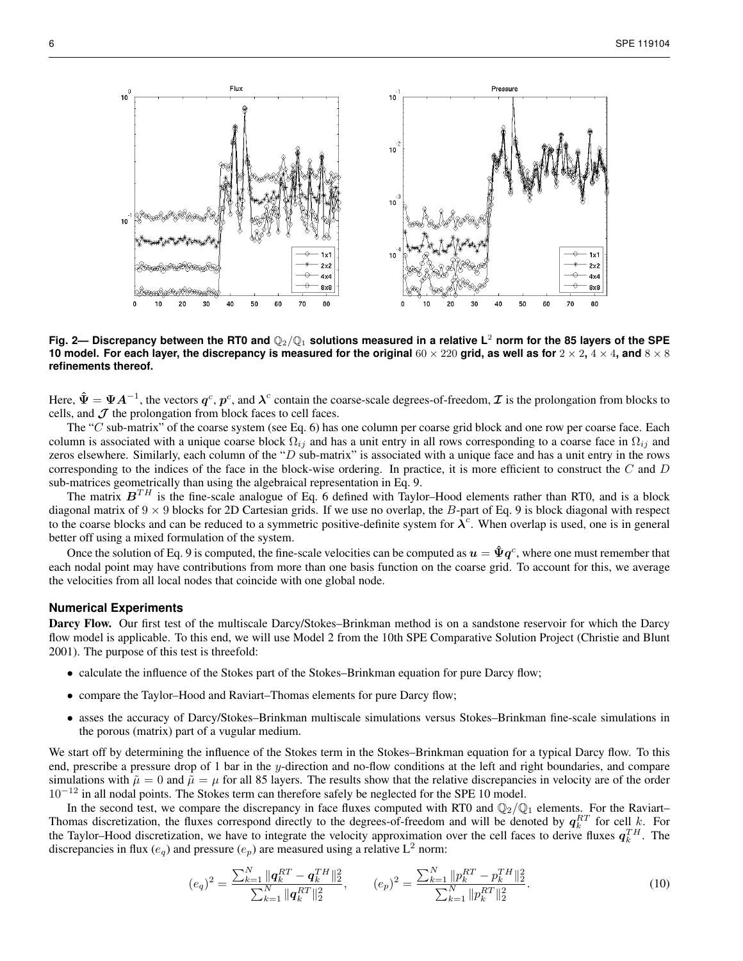

Fig. 2— Discrepancy between the RT0 and  $\mathbb{Q}_2/\mathbb{Q}_1$  solutions measured in a relative L<sup>2</sup> norm for the 85 layers of the SPE **10 model. For each layer, the discrepancy is measured for the original**  $60 \times 220$  grid, as well as for  $2 \times 2$ ,  $4 \times 4$ , and  $8 \times 8$ **refinements thereof.**

Here,  $\hat{\Psi} = \Psi A^{-1}$ , the vectors  $q^c$ ,  $p^c$ , and  $\lambda^c$  contain the coarse-scale degrees-of-freedom,  $\cal I$  is the prolongation from blocks to cells, and  $J$  the prolongation from block faces to cell faces.

The "C sub-matrix" of the coarse system (see Eq. 6) has one column per coarse grid block and one row per coarse face. Each column is associated with a unique coarse block  $\Omega_{ij}$  and has a unit entry in all rows corresponding to a coarse face in  $\Omega_{ij}$  and zeros elsewhere. Similarly, each column of the " $D$  sub-matrix" is associated with a unique face and has a unit entry in the rows corresponding to the indices of the face in the block-wise ordering. In practice, it is more efficient to construct the  $C$  and  $D$ sub-matrices geometrically than using the algebraical representation in Eq. 9.

The matrix  $B^{TH}$  is the fine-scale analogue of Eq. 6 defined with Taylor–Hood elements rather than RT0, and is a block diagonal matrix of  $9 \times 9$  blocks for 2D Cartesian grids. If we use no overlap, the B-part of Eq. 9 is block diagonal with respect to the coarse blocks and can be reduced to a symmetric positive-definite system for  $\lambda^c$ . When overlap is used, one is in general better off using a mixed formulation of the system.

Once the solution of Eq. 9 is computed, the fine-scale velocities can be computed as  $u = \hat{\Psi}q^c$ , where one must remember that each nodal point may have contributions from more than one basis function on the coarse grid. To account for this, we average the velocities from all local nodes that coincide with one global node.

### **Numerical Experiments**

Darcy Flow. Our first test of the multiscale Darcy/Stokes–Brinkman method is on a sandstone reservoir for which the Darcy flow model is applicable. To this end, we will use Model 2 from the 10th SPE Comparative Solution Project (Christie and Blunt 2001). The purpose of this test is threefold:

- calculate the influence of the Stokes part of the Stokes–Brinkman equation for pure Darcy flow;
- compare the Taylor–Hood and Raviart–Thomas elements for pure Darcy flow;
- asses the accuracy of Darcy/Stokes–Brinkman multiscale simulations versus Stokes–Brinkman fine-scale simulations in the porous (matrix) part of a vugular medium.

We start off by determining the influence of the Stokes term in the Stokes–Brinkman equation for a typical Darcy flow. To this end, prescribe a pressure drop of 1 bar in the y-direction and no-flow conditions at the left and right boundaries, and compare simulations with  $\tilde{\mu} = 0$  and  $\tilde{\mu} = \mu$  for all 85 layers. The results show that the relative discrepancies in velocity are of the order  $10^{-12}$  in all nodal points. The Stokes term can therefore safely be neglected for the SPE 10 model.

In the second test, we compare the discrepancy in face fluxes computed with RT0 and  $\mathbb{Q}_2/\mathbb{Q}_1$  elements. For the Raviart– Thomas discretization, the fluxes correspond directly to the degrees-of-freedom and will be denoted by  $q_k^{RT}$  for cell k. For the Taylor–Hood discretization, we have to integrate the velocity approximation over the cell faces to derive fluxes  $q_k^{TH}$ . The discrepancies in flux  $(e_q)$  and pressure  $(e_p)$  are measured using a relative L<sup>2</sup> norm:

$$
(e_q)^2 = \frac{\sum_{k=1}^N ||\mathbf{q}_k^{RT} - \mathbf{q}_k^{TH}||_2^2}{\sum_{k=1}^N ||\mathbf{q}_k^{RT}||_2^2}, \qquad (e_p)^2 = \frac{\sum_{k=1}^N ||p_k^{RT} - p_k^{TH}||_2^2}{\sum_{k=1}^N ||p_k^{RT}||_2^2}.
$$
 (10)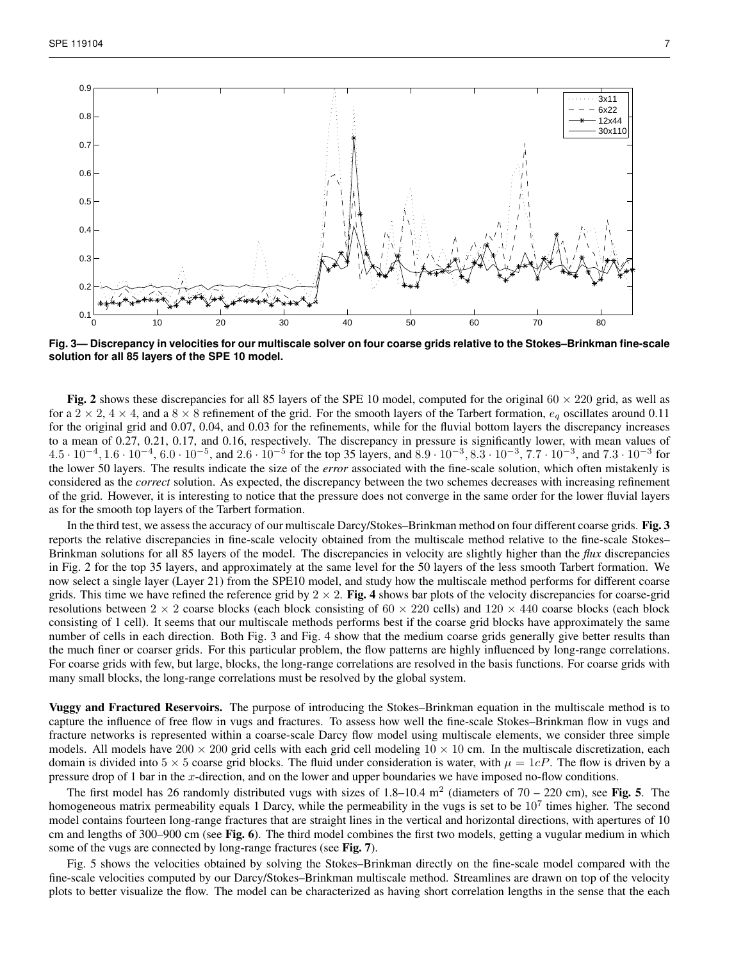

**Fig. 3— Discrepancy in velocities for our multiscale solver on four coarse grids relative to the Stokes–Brinkman fine-scale solution for all 85 layers of the SPE 10 model.**

Fig. 2 shows these discrepancies for all 85 layers of the SPE 10 model, computed for the original  $60 \times 220$  grid, as well as for a  $2 \times 2$ ,  $4 \times 4$ , and a  $8 \times 8$  refinement of the grid. For the smooth layers of the Tarbert formation,  $e_q$  oscillates around 0.11 for the original grid and 0.07, 0.04, and 0.03 for the refinements, while for the fluvial bottom layers the discrepancy increases to a mean of 0.27, 0.21, 0.17, and 0.16, respectively. The discrepancy in pressure is significantly lower, with mean values of 4.5 ·  $10^{-4}$ , 1.6 ·  $10^{-4}$ , 6.0 ·  $10^{-5}$ , and  $2.6 \cdot 10^{-5}$  for the top 35 layers, and 8.9 ·  $10^{-3}$ , 8.3 ·  $10^{-3}$ , 7.7 ·  $10^{-3}$ , and 7.3 ·  $10^{-3}$  for the lower 50 layers. The results indicate the size of the *error* associated with the fine-scale solution, which often mistakenly is considered as the *correct* solution. As expected, the discrepancy between the two schemes decreases with increasing refinement of the grid. However, it is interesting to notice that the pressure does not converge in the same order for the lower fluvial layers as for the smooth top layers of the Tarbert formation.

In the third test, we assess the accuracy of our multiscale Darcy/Stokes–Brinkman method on four different coarse grids. Fig. 3 reports the relative discrepancies in fine-scale velocity obtained from the multiscale method relative to the fine-scale Stokes– Brinkman solutions for all 85 layers of the model. The discrepancies in velocity are slightly higher than the *flux* discrepancies in Fig. 2 for the top 35 layers, and approximately at the same level for the 50 layers of the less smooth Tarbert formation. We now select a single layer (Layer 21) from the SPE10 model, and study how the multiscale method performs for different coarse grids. This time we have refined the reference grid by  $2 \times 2$ . Fig. 4 shows bar plots of the velocity discrepancies for coarse-grid resolutions between  $2 \times 2$  coarse blocks (each block consisting of  $60 \times 220$  cells) and  $120 \times 440$  coarse blocks (each block consisting of 1 cell). It seems that our multiscale methods performs best if the coarse grid blocks have approximately the same number of cells in each direction. Both Fig. 3 and Fig. 4 show that the medium coarse grids generally give better results than the much finer or coarser grids. For this particular problem, the flow patterns are highly influenced by long-range correlations. For coarse grids with few, but large, blocks, the long-range correlations are resolved in the basis functions. For coarse grids with many small blocks, the long-range correlations must be resolved by the global system.

Vuggy and Fractured Reservoirs. The purpose of introducing the Stokes–Brinkman equation in the multiscale method is to capture the influence of free flow in vugs and fractures. To assess how well the fine-scale Stokes–Brinkman flow in vugs and fracture networks is represented within a coarse-scale Darcy flow model using multiscale elements, we consider three simple models. All models have  $200 \times 200$  grid cells with each grid cell modeling  $10 \times 10$  cm. In the multiscale discretization, each domain is divided into  $5 \times 5$  coarse grid blocks. The fluid under consideration is water, with  $\mu = 1cP$ . The flow is driven by a pressure drop of 1 bar in the x-direction, and on the lower and upper boundaries we have imposed no-flow conditions.

The first model has 26 randomly distributed vugs with sizes of  $1.8-10.4$  m<sup>2</sup> (diameters of  $70-220$  cm), see Fig. 5. The homogeneous matrix permeability equals 1 Darcy, while the permeability in the vugs is set to be  $10^7$  times higher. The second model contains fourteen long-range fractures that are straight lines in the vertical and horizontal directions, with apertures of 10 cm and lengths of 300–900 cm (see Fig. 6). The third model combines the first two models, getting a vugular medium in which some of the vugs are connected by long-range fractures (see Fig. 7).

Fig. 5 shows the velocities obtained by solving the Stokes–Brinkman directly on the fine-scale model compared with the fine-scale velocities computed by our Darcy/Stokes–Brinkman multiscale method. Streamlines are drawn on top of the velocity plots to better visualize the flow. The model can be characterized as having short correlation lengths in the sense that the each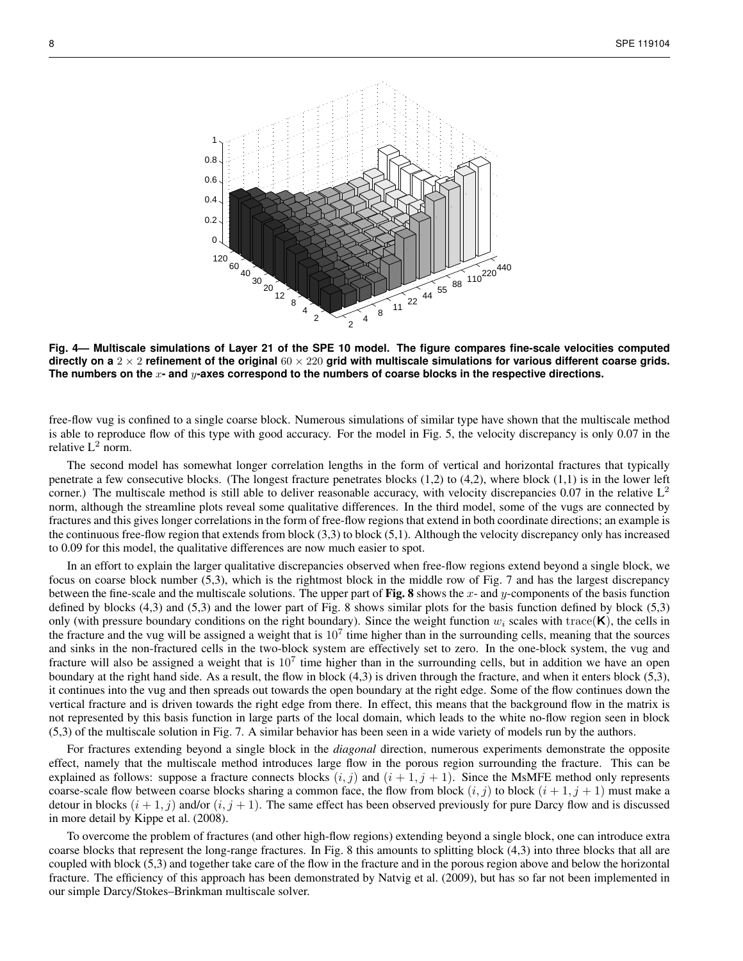

**Fig. 4— Multiscale simulations of Layer 21 of the SPE 10 model. The figure compares fine-scale velocities computed directly on a** 2 × 2 **refinement of the original** 60 × 220 **grid with multiscale simulations for various different coarse grids. The numbers on the** x**- and** y**-axes correspond to the numbers of coarse blocks in the respective directions.**

free-flow vug is confined to a single coarse block. Numerous simulations of similar type have shown that the multiscale method is able to reproduce flow of this type with good accuracy. For the model in Fig. 5, the velocity discrepancy is only 0.07 in the relative  $L^2$  norm.

The second model has somewhat longer correlation lengths in the form of vertical and horizontal fractures that typically penetrate a few consecutive blocks. (The longest fracture penetrates blocks  $(1,2)$  to  $(4,2)$ , where block  $(1,1)$  is in the lower left corner.) The multiscale method is still able to deliver reasonable accuracy, with velocity discrepancies 0.07 in the relative  $L^2$ norm, although the streamline plots reveal some qualitative differences. In the third model, some of the vugs are connected by fractures and this gives longer correlations in the form of free-flow regions that extend in both coordinate directions; an example is the continuous free-flow region that extends from block (3,3) to block (5,1). Although the velocity discrepancy only has increased to 0.09 for this model, the qualitative differences are now much easier to spot.

In an effort to explain the larger qualitative discrepancies observed when free-flow regions extend beyond a single block, we focus on coarse block number (5,3), which is the rightmost block in the middle row of Fig. 7 and has the largest discrepancy between the fine-scale and the multiscale solutions. The upper part of Fig. 8 shows the  $x$ - and  $y$ -components of the basis function defined by blocks (4,3) and (5,3) and the lower part of Fig. 8 shows similar plots for the basis function defined by block (5,3) only (with pressure boundary conditions on the right boundary). Since the weight function  $w_i$  scales with trace( $\mathsf{K}$ ), the cells in the fracture and the vug will be assigned a weight that is  $10<sup>7</sup>$  time higher than in the surrounding cells, meaning that the sources and sinks in the non-fractured cells in the two-block system are effectively set to zero. In the one-block system, the vug and fracture will also be assigned a weight that is  $10^7$  time higher than in the surrounding cells, but in addition we have an open boundary at the right hand side. As a result, the flow in block (4,3) is driven through the fracture, and when it enters block (5,3), it continues into the vug and then spreads out towards the open boundary at the right edge. Some of the flow continues down the vertical fracture and is driven towards the right edge from there. In effect, this means that the background flow in the matrix is not represented by this basis function in large parts of the local domain, which leads to the white no-flow region seen in block (5,3) of the multiscale solution in Fig. 7. A similar behavior has been seen in a wide variety of models run by the authors.

For fractures extending beyond a single block in the *diagonal* direction, numerous experiments demonstrate the opposite effect, namely that the multiscale method introduces large flow in the porous region surrounding the fracture. This can be explained as follows: suppose a fracture connects blocks  $(i, j)$  and  $(i + 1, j + 1)$ . Since the MsMFE method only represents coarse-scale flow between coarse blocks sharing a common face, the flow from block  $(i, j)$  to block  $(i + 1, j + 1)$  must make a detour in blocks  $(i + 1, j)$  and/or  $(i, j + 1)$ . The same effect has been observed previously for pure Darcy flow and is discussed in more detail by Kippe et al. (2008).

To overcome the problem of fractures (and other high-flow regions) extending beyond a single block, one can introduce extra coarse blocks that represent the long-range fractures. In Fig. 8 this amounts to splitting block (4,3) into three blocks that all are coupled with block (5,3) and together take care of the flow in the fracture and in the porous region above and below the horizontal fracture. The efficiency of this approach has been demonstrated by Natvig et al. (2009), but has so far not been implemented in our simple Darcy/Stokes–Brinkman multiscale solver.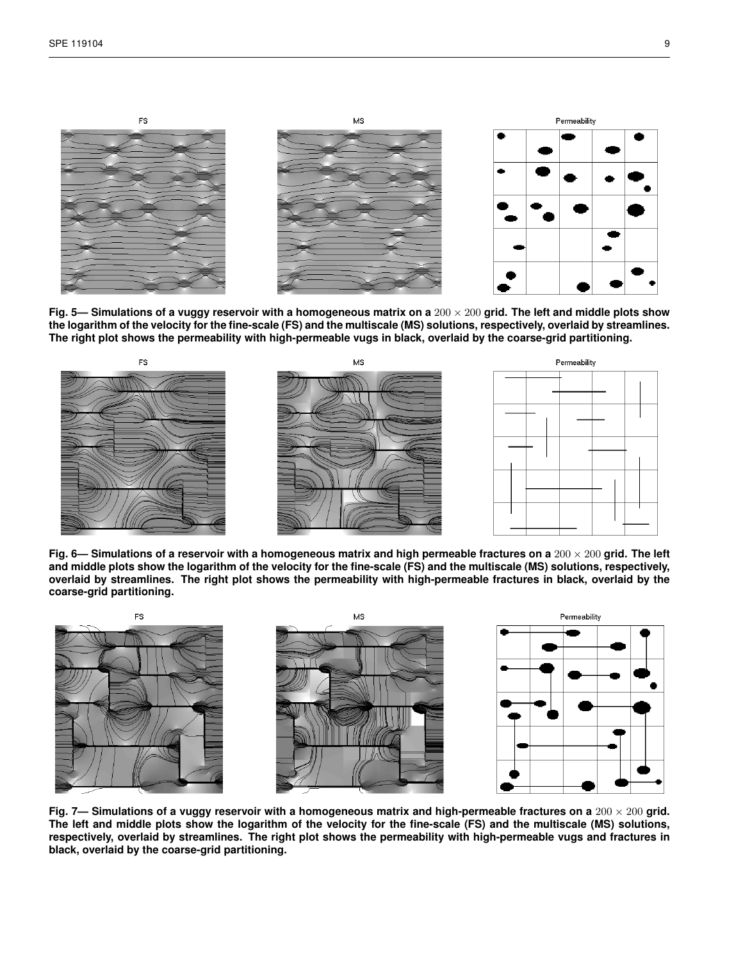

Fig. 5— Simulations of a vuggy reservoir with a homogeneous matrix on a 200 × 200 grid. The left and middle plots show **the logarithm of the velocity for the fine-scale (FS) and the multiscale (MS) solutions, respectively, overlaid by streamlines. The right plot shows the permeability with high-permeable vugs in black, overlaid by the coarse-grid partitioning.**



Fig. 6— Simulations of a reservoir with a homogeneous matrix and high permeable fractures on a  $200 \times 200$  grid. The left **and middle plots show the logarithm of the velocity for the fine-scale (FS) and the multiscale (MS) solutions, respectively, overlaid by streamlines. The right plot shows the permeability with high-permeable fractures in black, overlaid by the coarse-grid partitioning.**



Fig. 7— Simulations of a vuggy reservoir with a homogeneous matrix and high-permeable fractures on a 200 × 200 grid. **The left and middle plots show the logarithm of the velocity for the fine-scale (FS) and the multiscale (MS) solutions, respectively, overlaid by streamlines. The right plot shows the permeability with high-permeable vugs and fractures in black, overlaid by the coarse-grid partitioning.**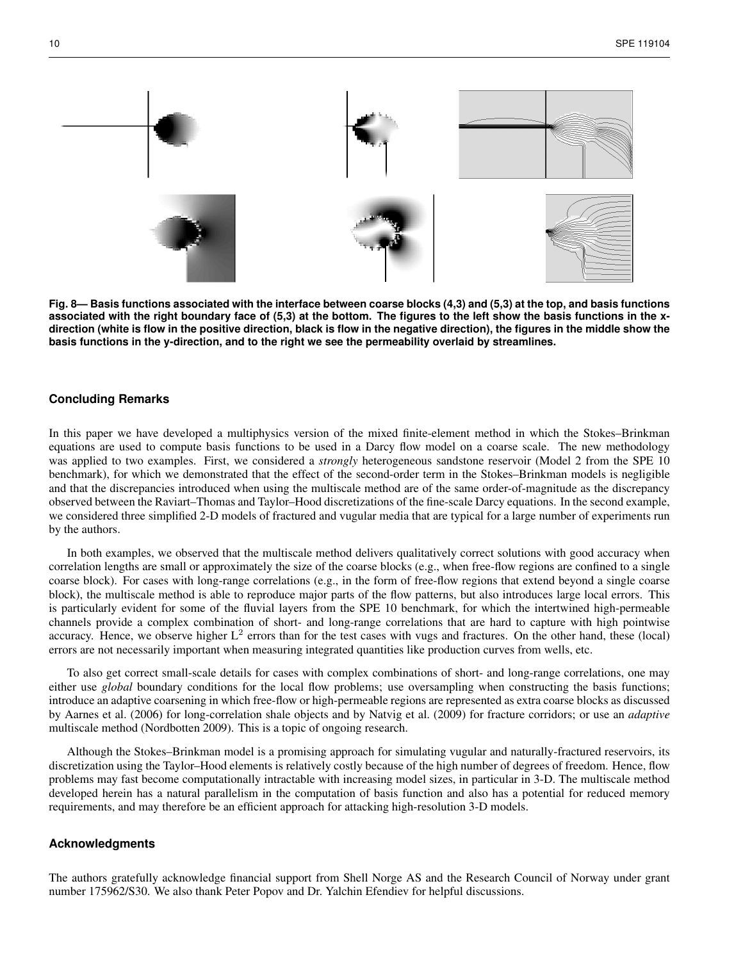**Fig. 8— Basis functions associated with the interface between coarse blocks (4,3) and (5,3) at the top, and basis functions associated with the right boundary face of (5,3) at the bottom. The figures to the left show the basis functions in the xdirection (white is flow in the positive direction, black is flow in the negative direction), the figures in the middle show the basis functions in the y-direction, and to the right we see the permeability overlaid by streamlines.**

### **Concluding Remarks**

In this paper we have developed a multiphysics version of the mixed finite-element method in which the Stokes–Brinkman equations are used to compute basis functions to be used in a Darcy flow model on a coarse scale. The new methodology was applied to two examples. First, we considered a *strongly* heterogeneous sandstone reservoir (Model 2 from the SPE 10 benchmark), for which we demonstrated that the effect of the second-order term in the Stokes–Brinkman models is negligible and that the discrepancies introduced when using the multiscale method are of the same order-of-magnitude as the discrepancy observed between the Raviart–Thomas and Taylor–Hood discretizations of the fine-scale Darcy equations. In the second example, we considered three simplified 2-D models of fractured and vugular media that are typical for a large number of experiments run by the authors.

In both examples, we observed that the multiscale method delivers qualitatively correct solutions with good accuracy when correlation lengths are small or approximately the size of the coarse blocks (e.g., when free-flow regions are confined to a single coarse block). For cases with long-range correlations (e.g., in the form of free-flow regions that extend beyond a single coarse block), the multiscale method is able to reproduce major parts of the flow patterns, but also introduces large local errors. This is particularly evident for some of the fluvial layers from the SPE 10 benchmark, for which the intertwined high-permeable channels provide a complex combination of short- and long-range correlations that are hard to capture with high pointwise accuracy. Hence, we observe higher  $L^2$  errors than for the test cases with vugs and fractures. On the other hand, these (local) errors are not necessarily important when measuring integrated quantities like production curves from wells, etc.

To also get correct small-scale details for cases with complex combinations of short- and long-range correlations, one may either use *global* boundary conditions for the local flow problems; use oversampling when constructing the basis functions; introduce an adaptive coarsening in which free-flow or high-permeable regions are represented as extra coarse blocks as discussed by Aarnes et al. (2006) for long-correlation shale objects and by Natvig et al. (2009) for fracture corridors; or use an *adaptive* multiscale method (Nordbotten 2009). This is a topic of ongoing research.

Although the Stokes–Brinkman model is a promising approach for simulating vugular and naturally-fractured reservoirs, its discretization using the Taylor–Hood elements is relatively costly because of the high number of degrees of freedom. Hence, flow problems may fast become computationally intractable with increasing model sizes, in particular in 3-D. The multiscale method developed herein has a natural parallelism in the computation of basis function and also has a potential for reduced memory requirements, and may therefore be an efficient approach for attacking high-resolution 3-D models.

## **Acknowledgments**

The authors gratefully acknowledge financial support from Shell Norge AS and the Research Council of Norway under grant number 175962/S30. We also thank Peter Popov and Dr. Yalchin Efendiev for helpful discussions.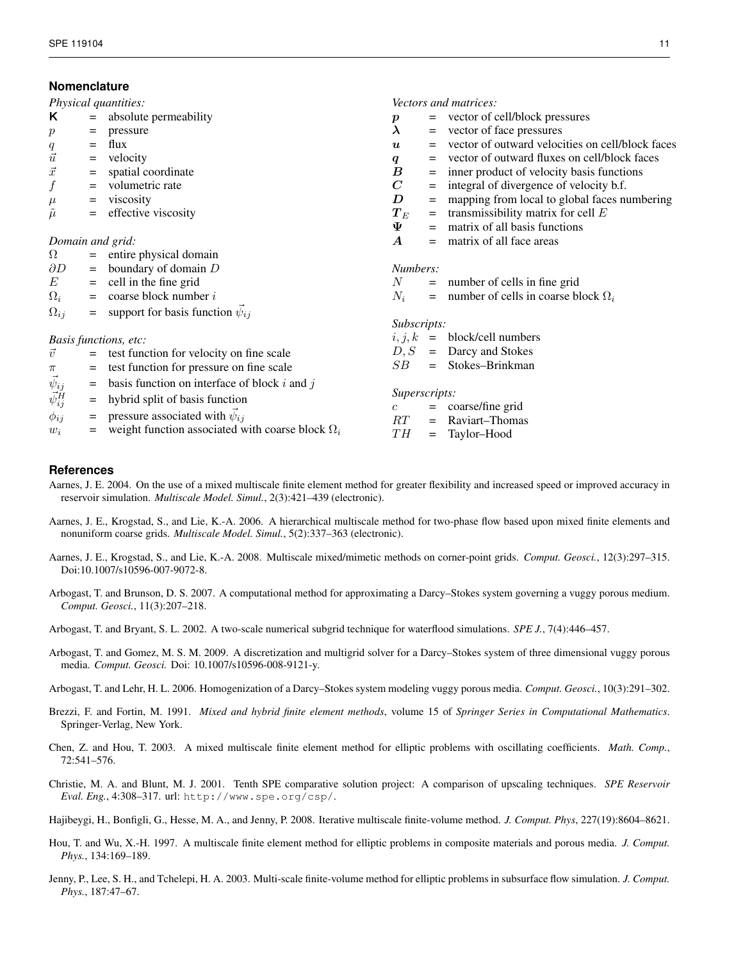# **Nomenclature**

| Physical quantities:                   |                   |                                                         | Vectors and matrices: |                   |                                                  |
|----------------------------------------|-------------------|---------------------------------------------------------|-----------------------|-------------------|--------------------------------------------------|
| K                                      | $=$               | absolute permeability                                   | $\boldsymbol{p}$      |                   | vector of cell/block pressures                   |
| $\boldsymbol{p}$                       | $=$               | pressure                                                | $\lambda$             | $=$               | vector of face pressures                         |
| $\boldsymbol{q}$                       | $=$               | flux                                                    | $\boldsymbol{u}$      |                   | vector of outward velocities on cell/block faces |
| $\vec{u}$                              | $=$               | velocity                                                | $\pmb{q}$             |                   | vector of outward fluxes on cell/block faces     |
| $\vec{x}$                              | $\qquad \qquad =$ | spatial coordinate                                      | $\boldsymbol{B}$      | $=$               | inner product of velocity basis functions        |
| $\boldsymbol{f}$                       | $=$               | volumetric rate                                         | $\boldsymbol{C}$      | $=$               | integral of divergence of velocity b.f.          |
| $\mu$                                  | $=$               | viscosity                                               | D                     | $=$               | mapping from local to global faces numbering     |
| $\tilde{\mu}$                          | $=$               | effective viscosity                                     | $\bm{T}_{E}$          | $=$               | transmissibility matrix for cell $E$             |
|                                        |                   |                                                         | Ψ                     | $=$               | matrix of all basis functions                    |
| Domain and grid:                       |                   |                                                         | $\boldsymbol{A}$      |                   | matrix of all face areas                         |
| $\Omega$                               | $=$               | entire physical domain                                  |                       |                   |                                                  |
| $\partial D$                           | $\quad =$         | boundary of domain $D$                                  | Numbers:              |                   |                                                  |
| $\boldsymbol{E}$                       | $\qquad \qquad =$ | cell in the fine grid                                   | $\boldsymbol{N}$      | $=$               | number of cells in fine grid                     |
| $\Omega_i$                             | $=$               | coarse block number i                                   | $N_i$                 |                   | number of cells in coarse block $\Omega_i$       |
| $\Omega_{ij}$                          | $=$               | support for basis function $\psi_{ij}$                  |                       |                   |                                                  |
|                                        |                   |                                                         | Subscripts:           |                   |                                                  |
| Basis functions, etc:                  |                   |                                                         | $i, j, k =$           |                   | block/cell numbers                               |
| $\vec{v}$                              |                   | test function for velocity on fine scale                |                       |                   | $D, S =$ Darcy and Stokes                        |
| $\pi$                                  | $=$               | test function for pressure on fine scale                | SB                    | $=$               | Stokes-Brinkman                                  |
|                                        | $=$               | basis function on interface of block $i$ and $j$        |                       |                   |                                                  |
| $\vec{\psi}_{ij} \\ \vec{\psi}_{ij}^H$ | $\qquad \qquad =$ | hybrid split of basis function                          | Superscripts:         |                   |                                                  |
| $\phi_{ij}$                            | $\qquad \qquad =$ | pressure associated with $\psi_{ij}$                    | $\mathcal{C}$         | $\qquad \qquad =$ | coarse/fine grid                                 |
| $w_i$                                  | $=$               | weight function associated with coarse block $\Omega_i$ | RT                    | $=$               | Raviart-Thomas                                   |
|                                        |                   |                                                         | TН                    | $=$               | Taylor-Hood                                      |

### **References**

- Aarnes, J. E. 2004. On the use of a mixed multiscale finite element method for greater flexibility and increased speed or improved accuracy in reservoir simulation. *Multiscale Model. Simul.*, 2(3):421–439 (electronic).
- Aarnes, J. E., Krogstad, S., and Lie, K.-A. 2006. A hierarchical multiscale method for two-phase flow based upon mixed finite elements and nonuniform coarse grids. *Multiscale Model. Simul.*, 5(2):337–363 (electronic).
- Aarnes, J. E., Krogstad, S., and Lie, K.-A. 2008. Multiscale mixed/mimetic methods on corner-point grids. *Comput. Geosci.*, 12(3):297–315. Doi:10.1007/s10596-007-9072-8.
- Arbogast, T. and Brunson, D. S. 2007. A computational method for approximating a Darcy–Stokes system governing a vuggy porous medium. *Comput. Geosci.*, 11(3):207–218.
- Arbogast, T. and Bryant, S. L. 2002. A two-scale numerical subgrid technique for waterflood simulations. *SPE J.*, 7(4):446–457.
- Arbogast, T. and Gomez, M. S. M. 2009. A discretization and multigrid solver for a Darcy–Stokes system of three dimensional vuggy porous media. *Comput. Geosci.* Doi: 10.1007/s10596-008-9121-y.
- Arbogast, T. and Lehr, H. L. 2006. Homogenization of a Darcy–Stokes system modeling vuggy porous media. *Comput. Geosci.*, 10(3):291–302.
- Brezzi, F. and Fortin, M. 1991. *Mixed and hybrid finite element methods*, volume 15 of *Springer Series in Computational Mathematics*. Springer-Verlag, New York.
- Chen, Z. and Hou, T. 2003. A mixed multiscale finite element method for elliptic problems with oscillating coefficients. *Math. Comp.*, 72:541–576.
- Christie, M. A. and Blunt, M. J. 2001. Tenth SPE comparative solution project: A comparison of upscaling techniques. *SPE Reservoir Eval. Eng.*, 4:308–317. url: http://www.spe.org/csp/.
- Hajibeygi, H., Bonfigli, G., Hesse, M. A., and Jenny, P. 2008. Iterative multiscale finite-volume method. *J. Comput. Phys*, 227(19):8604–8621.
- Hou, T. and Wu, X.-H. 1997. A multiscale finite element method for elliptic problems in composite materials and porous media. *J. Comput. Phys.*, 134:169–189.
- Jenny, P., Lee, S. H., and Tchelepi, H. A. 2003. Multi-scale finite-volume method for elliptic problems in subsurface flow simulation. *J. Comput. Phys.*, 187:47–67.